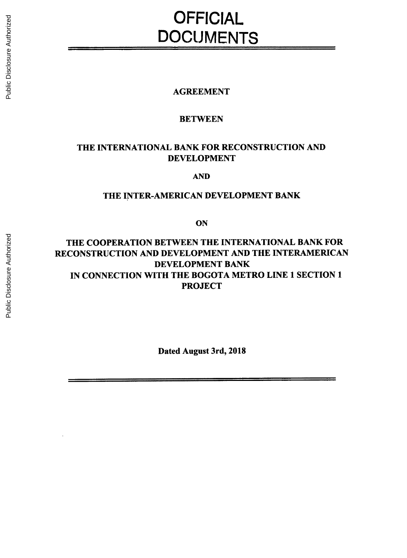# **OFFICIAL DOCUMENTS**

# **AGREEMENT**

# **BETWEEN**

# THE **INTERNATIONAL** BANK FOR **RECONSTRUCTION AND DEVELOPMENT**

**AND**

# THE INTER-AMERICAN **DEVELOPMENT** BANK

**ON**

# THE COOPERATION **BETWEEN** THE **INTERNATIONAL** BANK FOR **RECONSTRUCTION AND DEVELOPMENT AND** THE INTERAMERICAN **DEVELOPMENT** BANK **IN CONNECTION** WITH THE BOGOTA METRO **LINE 1 SECTION 1 PROJECT**

Dated August 3rd, **2018**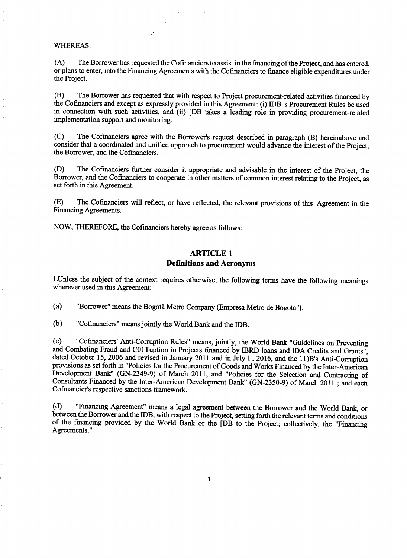#### WHEREAS:

 $\overline{\phantom{a}}$ 

**(A)** The Borrower has requested the Cofinanciers to assist in the financing of the Project, and has entered, or plans to enter, into the Financing Agreements with the Cofinanciers to finance eligible expenditures under the Project.

(B) The Borrower has requested that with respect to Project procurement-related activities financed **by** the Cofinanciers and except as expressly provided in this Agreement: (i) IDB 's Procurement Rules be used in connection with such activities, and (ii) [DB takes a leading role in providing procurement-related implementation support and monitoring.

**(C)** The Cofinanciers agree with the Borrower's request described in paragraph (B) hereinabove and consider that a coordinated and unified approach to procurement would advance the interest of the Project, the Borrower, and the Cofinanciers.

**(D)** The Cofinanciers further consider it appropriate and advisable in the interest of the Project, the Borrower, and the Cofinanciers to cooperate in other matters of common interest relating to the Project, as set forth in this Agreement.

**(E)** The Cofinanciers will reflect, or have reflected, the relevant provisions of this Agreement in the Financing Agreements.

NOW, THEREFORE, the Cofinanciers hereby agree as follows:

## **ARTICLE 1 Definitions and Acronyms**

**<sup>I</sup>**.Unless the subject of the context requires otherwise, the following terms have the following meanings wherever used in this Agreement:

(a) "Borrower" means the Bogotå Metro Company (Empresa Metro de Bogotå").

**(b)** "Cofinanciers" means jointly the World Bank and the IDB.

(c) "Cofinanciers' Anti-Corruption Rules" means, jointly, the World Bank "Guidelines on Preventing<br>and Combating Fraud and C01Tuption in Projects financed by IBRD loans and IDA Credits and Grants",<br>dated October 15, 2006 a Development Bank" **(GN-2349-9)** of March **2011,** and "Policies for the Selection and Contracting of Consultants Financed **by** the Inter-American Development Bank" *(GN-2350-9)* of March 2011 **;** and each Cofmancier's respective sanctions framework.

**(d)** "Financing Agreement" means a legal agreement between the Borrower and the World Bank, or between the Borrower and the IDB, with respect to the Project, setting forth the relevant terms and conditions of the financing provided **by** the World Bank or the [DB to the Project; collectively, the "Financing Agreements."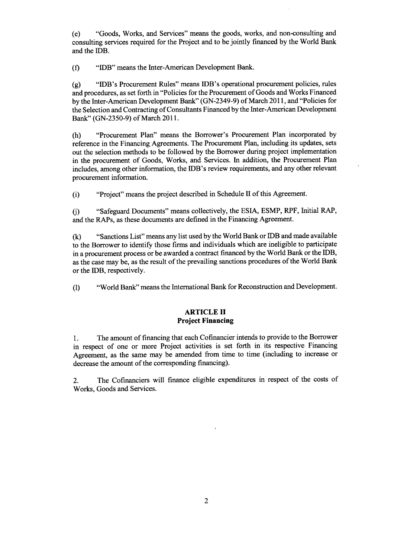(e) "Goods, Works, and Services" means the goods, works, and non-consulting and consulting services required for the Project and to be jointly financed **by** the World Bank and the IDB.

**(f)** "IDB" means the Inter-American Development Bank.

**(g)** "IDB's Procurement Rules" means IDB's operational procurement policies, rules and procedures, as set forth in "Policies for the Procurement of Goods and Works Financed **by** the Inter-American Development Bank" **(GN-2349-9)** of March **2011,** and "Policies for the Selection and Contracting of Consultants Financed **by** the Inter-American Development Bank" (GN-2350-9) of March **2011.**

(h) "Procurement Plan" means the Borrower's Procurement Plan incorporated **by** reference in the Financing. Agreements. The Procurement Plan, including its updates, sets out the selection methods to be followed **by** the Borrower during project implementation in the procurement of Goods, Works, and Services. In addition, the Procurement Plan includes, among other information, the IDB's review requirements, and any other relevant procurement information.

(i) "Project" means the project described in Schedule II of this Agreement.

**(j)** "Safeguard Documents" means collectively, the **ESIA, ESMP,** RPF, Initial RAP, and the RAPs, as these documents are defined in the Financing Agreement.

**(k)** "Sanctions List" means any list used **by** the World Bank or IDB and made available to the Borrower to identify those firms and individuals which are ineligible to participate in a procurement process or be awarded a contract financed **by** the World Bank or the IDB, as the case may be, as the result of the prevailing sanctions procedures of the World Bank or the IDB, respectively.

**(1)** "World Bank" means the International Bank for Reconstruction and Development.

#### **ARTICLE II Project Financing**

**1.** The amount of financing that each Cofinancier intends to provide to the Borrower in respect of one or more Project activities is set forth in its respective Financing Agreement, as the same may be amended from time to time (including to increase or decrease the amount of the corresponding financing).

2. The Cofinanciers will finance eligible expenditures in respect of the costs of Works, Goods and Services.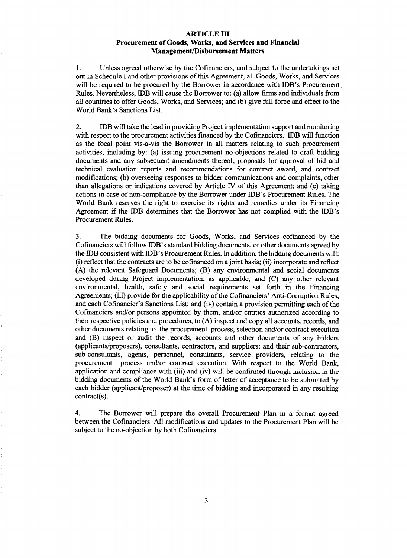#### **ARTICLE III Procurement of Goods, Works, and Services and Financial Management/Disbursement Matters**

1. Unless agreed otherwise **by** the Cofinanciers, and subject to the undertakings set out in Schedule **I** and other provisions of this Agreement, all Goods, Works, and Services will be required to be procured **by** the Borrower in accordance with IDB's Procurement Rules. Nevertheless, IDB will cause the Borrower to: (a) allow firms and individuals from all countries to offer Goods, Works, and Services; and **(b)** give full force and effect to the World Bank's Sanctions List.

2. IDB will take the lead in providing Project implementation support and monitoring with respect to the procurement activities financed **by** the Cofinanciers. IDB will function as the focal point vis-a-vis the Borrower in all matters relating to such procurement activities, including **by:** (a) issuing procurement no-objections related to draft bidding documents and any subsequent amendments thereof, proposals for approval of bid and technical evaluation reports and recommendations for contract award, and contract modifications; **(b)** overseeing responses to bidder communications and complaints, other than allegations or indications covered **by** Article IV of this Agreement; and (c) taking actions in case of non-compliance **by** the Borrower under IDB's Procurement Rules. The World Bank reserves the right to exercise its rights and remedies under its Financing Agreement if the IDB determines that the Borrower has not complied with the IDB's Procurement Rules.

**3.** The bidding documents for Goods, Works, and Services cofinanced **by** the Cofinanciers will follow IDB's standard bidding documents, or other documents agreed **by** the IDB consistent with IDB's Procurement Rules. In addition, the bidding documents will: (i) reflect that the contracts are to be cofinanced on a joint basis; (ii) incorporate and reflect **(A)** the relevant Safeguard Documents; (B) any environmental and social documents developed during Project implementation, as applicable; and **(C)** any other relevant environmental, health, safety and social requirements set forth in the Financing Agreements; (iii) provide for the applicability of the Cofinanciers' Anti-Corruption Rules, and each Cofinancier's Sanctions List; and (iv) contain a provision permitting each of the Cofinanciers and/or persons appointed **by** them, and/or entities authorized according to their respective policies and procedures, to **(A)** inspect and copy all accounts, records, and other documents relating to the procurement process, selection and/or contract execution and (B) inspect or audit the records, accounts and other documents of any bidders (applicants/proposers), consultants, contractors, and suppliers; and their sub-contractors, sub-consultants, agents, personnel, consultants, service providers, relating to the procurement process and/or contract execution. With respect to the World Bank. application and compliance with (iii) and (iv) will be confirmed through inclusion in the bidding documents of the World Bank's form of letter of acceptance to **be** submitted **by** each bidder (applicant/proposer) at the time of bidding and incorporated in any resulting contract(s).

4. The Borrower will prepare the overall Procurement Plan in a format agreed between the Cofinanciers. **All** modifications and updates to the Procurement Plan will be subject to the no-objection **by** both Cofinanciers.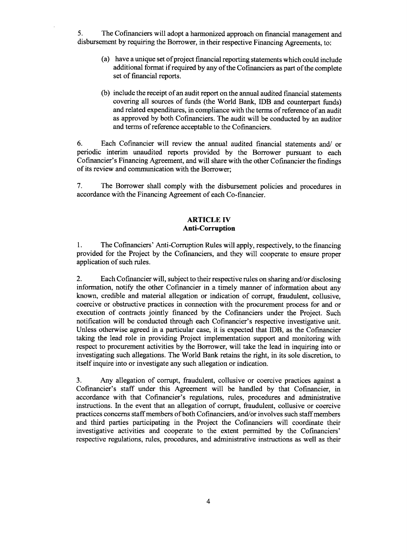**5.** The Cofmanciers will adopt a harmonized approach on financial management and disbursement **by** requiring the Borrower, in their respective Financing Agreements, to:

- (a) have a unique set of project financial reporting statements which could include additional format if required **by** any of the Cofinanciers as part of the complete set of financial reports.
- **(b)** include the receipt of an audit report on the annual audited financial statements covering all sources of funds (the World Bank, IDB and counterpart funds) and related expenditures, in compliance with the terms of reference of an audit as approved **by** both Cofinanciers. The audit will be conducted **by** an auditor and terms of reference acceptable to the Cofinanciers.

**6.** Each Cofinancier will review the annual audited financial statements and/ or periodic interim unaudited reports provided **by** the Borrower pursuant to each Cofinancier's Financing Agreement, and will share with the other Cofinancier the findings of its review and communication with the Borrower;

**7.** The Borrower shall comply with the disbursement policies and procedures in accordance with the Financing Agreement of each Co-financier.

#### **ARTICLE IV Anti-Corruption**

**1.** The Cofmanciers' Anti-Corruption Rules will apply, respectively, to the financing provided for the Project **by** the Cofinanciers, and they will cooperate to ensure proper application of such rules.

2. Each Cofinancier will, subject to their respective rules on sharing and/or disclosing information, notify the other Cofinancier in a timely manner of information about any known, credible and material allegation or indication of corrupt, fraudulent, collusive, coercive or obstructive practices in connection with the procurement process for and or execution of contracts jointly financed **by** the Cofinanciers under the Project. Such notification will be conducted through each Cofinancier's respective investigative unit. Unless otherwise agreed in a particular case, it is expected that IDB, as the Cofinancier taking the lead role in providing Project implementation support and monitoring with respect to procurement activities **by** the Borrower, will take the lead in inquiring into or investigating such allegations. The World Bank retains the right, in its sole discretion, to itself inquire into or investigate any such allegation or indication.

**3.** Any allegation of corrupt, fraudulent, collusive or coercive practices against a Cofinancier's staff under this Agreement will be handled **by** that Cofinancier, in accordance with that Cofinancier's regulations, rules, procedures and administrative instructions. In the event that an allegation of corrupt, fraudulent, collusive or coercive practices concerns staff members of both Cofinanciers, and/or involves such staff members and third parties participating in the Project the Cofinanciers will coordinate their investigative activities and cooperate to the extent permitted **by** the Cofinanciers' respective regulations, rules, procedures, and administrative instructions as well as their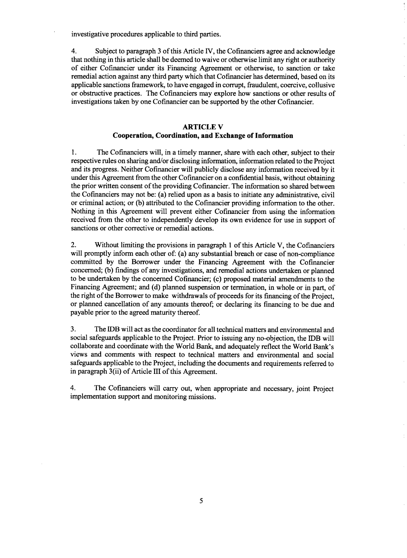investigative procedures applicable to third parties.

4. Subject to paragraph **3** of this Article IV, the Cofinanciers agree and acknowledge that nothing in this article shall be deemed to waive or otherwise limit any right or authority of either Cofinancier under its Financing Agreement or otherwise, to sanction or take remedial action against any third party which that Cofinancier has determined, based on its applicable sanctions framework, to have engaged in corrupt, fraudulent, coercive, collusive or obstructive practices. The Cofinanciers may explore how sanctions or other results of investigations taken **by** one Cofinancier can be supported **by** the other Cofinancier.

## **ARTICLE V Cooperation, Coordination, and Exchange of Information**

**1. The Cofinanciers will, in a** timely manner, share with each other, subject to their respective rules on sharing and/or disclosing information, information related to the Project and its progress. Neither Cofinancier will publicly disclose any information received **by** it under this Agreement from the other Cofinancier on a confidential basis, without obtaining the prior written consent of the providing Cofinancier. The information so shared between the Cofinanciers may not be: (a) relied upon as a basis to initiate any administrative, civil or criminal action; or **(b)** attributed to the Cofinancier providing information to the other. Nothing in this Agreement will prevent either Cofinancier from using the information received from the other to independently develop its own evidence for use in support of sanctions or other corrective or remedial actions.

2. Without limiting the provisions in paragraph 1 of this Article V, the Cofinanciers will promptly inform each other of: (a) any substantial breach or case of non-compliance committed **by** the Borrower under the Financing Agreement with the Cofinancier concerned; **(b)** findings of any investigations, and remedial actions undertaken or planned to be undertaken **by** the concerned Cofinancier; (c) proposed material amendments to the Financing Agreement; and **(d)** planned suspension or termination, in whole or in part, of the right of the Borrower to make withdrawals of proceeds for its financing of the Project, or planned cancellation of any amounts thereof; or declaring its financing to be due and payable prior to the agreed maturity thereof.

**3.** The IDB will act as the coordinator for all technical matters and environmental and social safeguards applicable to the Project. Prior to issuing any no-objection, the IDB will collaborate and coordinate with the World Bank, and adequately reflect the World Bank's views and comments with respect to technical matters and environmental and social safeguards applicable to the Project, including the documents and requirements referred to in paragraph 3(ii) of Article **III** of this Agreement.

4. The Cofinanciers will carry out, when appropriate and necessary, joint Project implementation support and monitoring missions.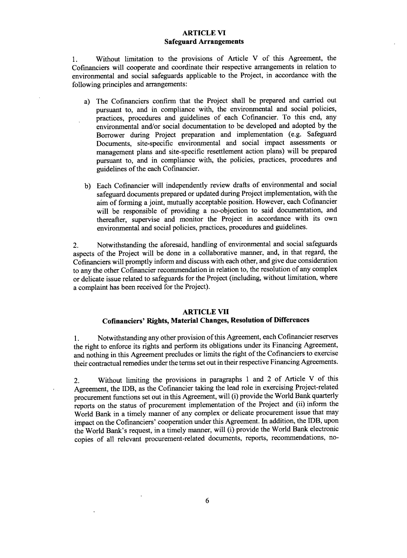### **ARTICLE VI Safeguard Arrangements**

1. Without limitation to the provisions of Article V of this Agreement, the Cofinanciers will cooperate and coordinate their respective arrangements in relation to environmental and social safeguards applicable to the Project, in accordance with the following principles and arrangements:

- a) The Cofinanciers confirm that the Project shall be prepared and carried out pursuant to, and in compliance with, the environmental and social policies, practices, procedures and guidelines of each Cofinancier. To this end, any environmental and/or social documentation to be developed and adopted **by** the Borrower during Project preparation and implementation (e.g. Safeguard Documents, site-specific environmental and social impact assessments or management plans and site-specific resettlement action plans) will be prepared pursuant to, and in compliance with, the policies, practices, procedures and guidelines of the each Cofinancier.
- **b)** Each Cofinancier will independently review drafts of environmental and social safeguard documents prepared or updated during Project implementation, with the aim of forming a joint, mutually acceptable position. However, each Cofinancier will be responsible of providing a no-objection to said documentation, and thereafter, supervise and monitor the Project in accordance with its own environmental and social policies, practices, procedures and guidelines.

2. Notwithstanding the aforesaid, handling of environmental and social safeguards aspects of the Project will be done in a collaborative manner, and, in that regard, the Cofinanciers will promptly inform and discuss with each other, and give due consideration to any the other Cofinancier recommendation in relation to, the resolution of any complex or delicate issue related to safeguards for the Project (including, without limitation, where a complaint has been received for the Project).

## **ARTICLE VII**

## **Cofinanciers' Rights, Material Changes, Resolution of Differences**

**1.** Notwithstanding any other provision of this Agreement, each Cofinancier reserves the right to enforce its rights and perform its obligations under its Financing Agreement, and nothing in this Agreement precludes or limits the right of the Cofinanciers to exercise their contractual remedies under the terms set out in their respective Financing Agreements.

2. Without limiting the provisions in paragraphs 1 and 2 of Article V of this Agreement, the IDB, as the Cofinancier taking the lead role in exercising Project-related procurement functions set out in this Agreement, will (i) provide the World Bank quarterly reports on the status of procurement implementation of the Project and (ii) inform the World Bank in a timely manner of any complex or delicate procurement issue that may impact on the Cofinanciers' cooperation under this Agreement. In addition, the IDB, upon the World Bank's request, in a timely manner, will (i) provide the World Bank electronic copies of all relevant procurement-related documents, reports, recommendations, no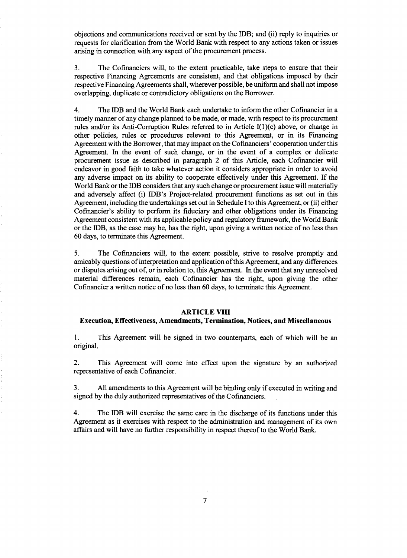objections and communications received or sent **by** the IDB; and (ii) reply to inquiries or requests for clarification from the World Bank with respect to any actions taken or issues arising in connection with any aspect of the procurement process.

**3.** The Cofinanciers will, to the extent practicable, take steps to ensure that their respective Financing Agreements are consistent, and that obligations imposed **by** their respective Financing Agreements shall, wherever possible, be uniform and shall not impose overlapping, duplicate or contradictory obligations on the Borrower.

4. The IDB and the World Bank each undertake to inform the other Cofinancier in a timely manner of any change planned to be made, or made, with respect to its procurement rules and/or its Anti-Corruption Rules referred to **in** Article I(1)(c) above, or change in other policies, rules or procedures relevant to this Agreement, or in its Financing Agreement with the Borrower, that may impact on the Cofinanciers' cooperation under this Agreement. In the event of such change, or in the event of a complex or delicate procurement issue as described in paragraph 2 of this Article, each Cofmancier will endeavor in good faith to take whatever action it considers appropriate in order to avoid any adverse impact on its ability to cooperate effectively under this Agreement. If the World Bank or the IDB considers that any such change or procurement issue will materially and adversely affect (i) IDB's Project-related procurement functions as set out in this Agreement, including the undertakings set out in Schedule Ito this Agreement, or (ii) either Cofinancier's ability to perform its fiduciary and other obligations under its Financing Agreement consistent with its applicable policy and regulatory framework, the World Bank or the IDB, as the case may be, has the right, upon giving a written notice of no less than **60** days, to terminate this Agreement.

**5.** The Cofinanciers will, to the extent possible, strive to resolve promptly and amicably questions of interpretation and application of this Agreement, and any differences or disputes arising out of, or in relation to, this Agreement. In the event that any unresolved material differences remain, each Cofinancier has the right, upon giving the other Cofinancier a written notice of no less than **60** days, to terminate this Agreement.

#### **ARTICLE VIII**

#### **Execution, Effectiveness, Amendments, Termination, Notices, and Miscellaneous**

**I.** This Agreement will be signed in two counterparts, each of which will be an original.

2. This Agreement will come into effect upon the signature **by** an authorized representative of each Cofinancier.

**3. All** amendments to this Agreement will be binding only if executed in writing and signed **by** the duly authorized representatives of the Cofinanciers.

4. The IDB will exercise the same care in the discharge of its functions under this Agreement as it exercises with respect to the administration and management of its own affairs and will have no further responsibility in respect thereof to the World Bank.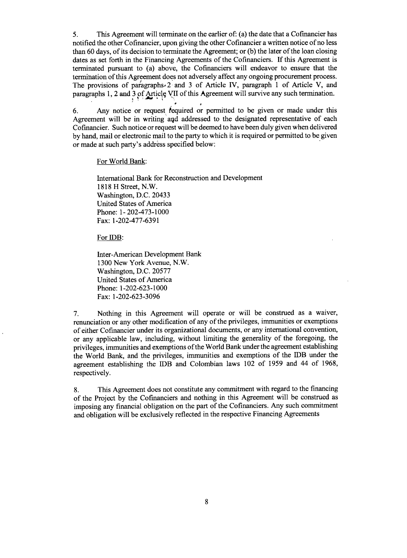*5.* This Agreement will terminate on the earlier of: (a) the date that a Cofinancier has notified the other Cofinancier, upon giving the other Cofinancier a written notice of no less than **60** days, of its decision to terminate the Agreement; or **(b)** the later of the loan closing dates as set forth in the Financing Agreements of the Cofinanciers. **If** this Agreement is terminated pursuant to (a) above, the Cofinanciers will endeavor to ensure that the termination of this Agreement does not adversely affect any ongoing procurement process. The provisions of paragraphs- 2 and **3** of Article IV, paragraph **1** of Article V, and paragraphs **1,** 2 and **3** of Article VII of this Agreement will survive any such termination.

**6.** Any notice or request fequired or permitted to be given or made under this Agreement will be in writing and addressed to the designated representative of each Cofinancier. Such notice or request will be deemed to have been duly given when delivered **by** hand, mail or electronic mail to the party to which it is required or permitted to be given or made at such party's address specified below:

For World Bank:

International Bank for Reconstruction and Development **1818** H Street, N.W. Washington, **D.C.** 20433 United States of America Phone: **1-** 202-473-1000 Fax: **1-202-477-6391**

For IDB:

Inter-American Development Bank **1300** New York Avenue, N.W. Washington, **D.C. 20577** United States of America Phone: **1-202-623-1000** Fax: **1-202-623-3096**

**7.** Nothing in this Agreement will operate or will be construed as a waiver, renunciation or any other modification of any of the privileges, immunities or exemptions of either Cofinancier under its organizational documents, or any international convention, or any applicable law, including, without limiting the generality of the foregoing, the privileges, immunities and exemptions of the World Bank under the agreement establishing the World Bank, and the privileges, immunities and exemptions of the IDB under the agreement establishing the IDB and Colombian laws 102 of **1959** and 44 of **1968,** respectively.

**8.** This Agreement does not constitute any commitment with regard to the financing of the Project **by** the Cofinanciers and nothing in this Agreement will be construed as imposing any financial obligation on the part of the Cofinanciers. Any such commitment and obligation will be exclusively reflected in the respective Financing Agreements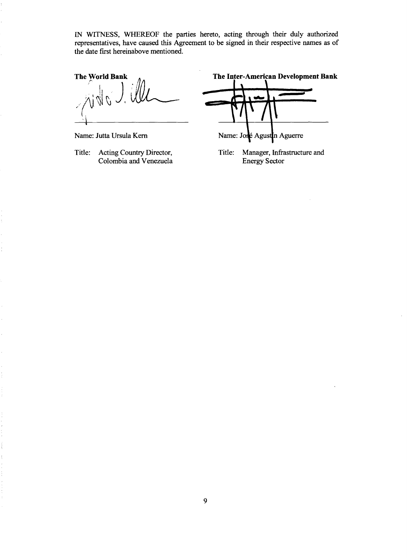**IN** WITNESS, WHEREOF the parties hereto, acting through their duly authorized representatives, have caused this Agreement to be signed in their respective names as of the date first hereinabove mentioned.

Colombia and Venezuela

The World Bank  $\alpha$ , The Inter-American Development Bank

Name: Jutta Ursula Kern Name: José Agustin Aguerre

Title: Acting Country Director, Title: Manager, Infrastructure and Colombia and Venezuela<br>
Energy Sector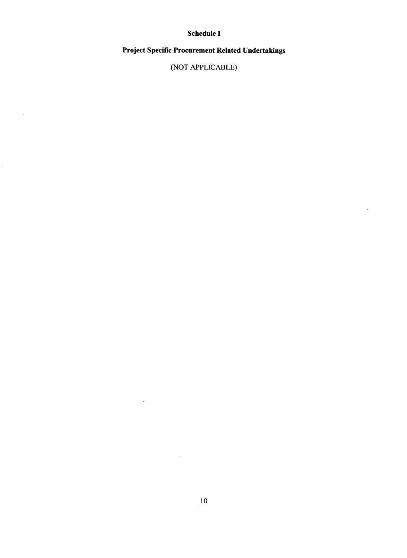# Schedule **I**

# Project Specific Procurement Related Undertakings

**(NOT** APPLICABLE)

 $\lambda$ 

 $\sim$ 

 $\mathbb{R}^3$ 

 $\mathcal{L}_{\mathcal{A}}$ 

 $\mathcal{A}$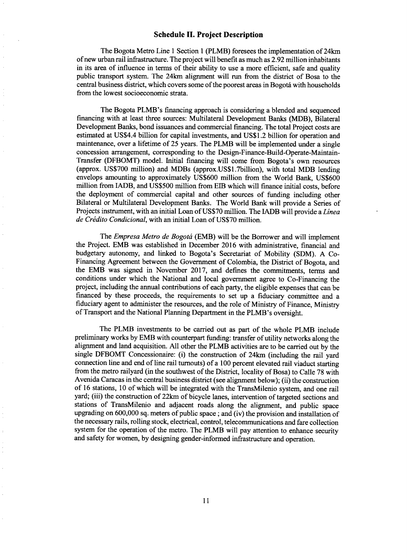## **Schedule II. Project Description**

The Bogota Metro Line 1 Section 1 (PLMB) foresees the implementation of 24km of new urban rail infrastructure. The project will benefit as much as **2.92** million inhabitants in its area of influence in terms of their ability to use a more efficient, safe and quality public transport system. The 24km alignment will run from the district of Bosa to the central business district, which covers some of the poorest areas in Bogota with households from the lowest socioeconomic strata.

The Bogota PLMB's financing approach is considering a blended and sequenced financing with at least three sources: Multilateral Development Banks (MDB), Bilateral Development Banks, bond issuances and commercial financing. The total Project costs are estimated at US\$4.4 billion for capital investments, and **US\$1.2** billion for operation and maintenance, over a lifetime of **25** years. The PLMB will be implemented under a single concession arrangement, corresponding to the Design-Finance-Build-Operate-Maintain-Transfer (DFBOMT) model. Initial financing will come from Bogota's own resources (approx. **US\$700** million) and MDBs (approx.US\$1.7billion), with total MDB lending envelops amounting to approximately **US\$600** million from the World Bank, **US\$600** million from IADB, and **US\$500** million from **EIB** which will finance initial costs, before the deployment of commercial capital and other sources of funding including other Bilateral or Multilateral Development Banks. The World Bank will provide a Series of Projects instrument, with an initial Loan of **US\$70** million. The IADB will provide a *Linea de Credito Condicional,* with an initial Loan of **US\$70** million.

*The Empresa Metro de Bogoti* (EMB) will be the Borrower and will implement the Project. EMB was established in December **2016** with administrative, financial and budgetary autonomy, and linked to Bogota's Secretariat of Mobility **(SDM). A** Co-Financing Agreement between the Government of Colombia, the District of Bogota, and the EMB was signed in November **2017,** and defines the commitments, terms and conditions under which the National and local government agree to Co-Financing the project, including the annual contributions of each party, the eligible expenses that can be financed **by** these proceeds, the requirements to set up a fiduciary committee and a fiduciary agent to administer the resources, and the role of Ministry of Finance, Ministry of Transport and the National Planning Department in the PLMB's oversight.

The PLMB investments to be carried out as part of the whole PLMB include preliminary works **by** EMB with counterpart funding: transfer of utility networks along the alignment and land acquisition. **All** other the PLMB activities are to be carried out **by** the single DFBOMT Concessionaire: (i) the construction of 24km (including the rail yard connection line and end of line rail turnouts) of a **100** percent elevated rail viaduct starting from the metro railyard (in the southwest of the District, locality of Bosa) to Calle **78** with Avenida Caracas in the central business district (see alignment below); (ii) the construction of **16** stations, **10** of which will be integrated with the TransMilenio system, and one rail yard; (iii) the construction of 22km of bicycle lanes, intervention of targeted sections and stations of TransMilenio and adjacent roads along the alignment, and public space upgrading on **600,000** sq. meters of public space; and (iv) the provision and installation of the necessary rails, rolling stock, electrical, control, telecommunications and fare collection system for the operation of the metro. The PLMB will pay attention to enhance security and safety for women, **by** designing gender-informed infrastructure and operation.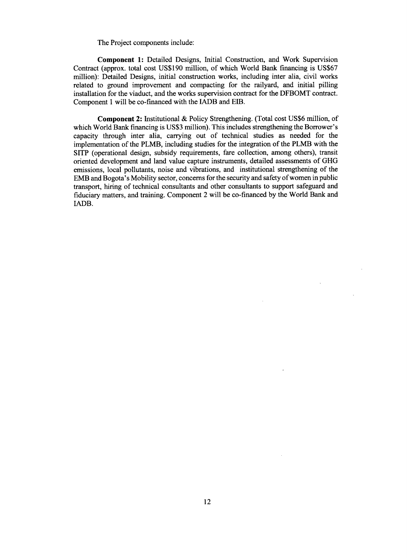The Project components include:

Component **1:** Detailed Designs, Initial Construction, and Work Supervision Contract (approx. total cost **US\$190** million, of which World Bank financing is **US\$67** million): Detailed Designs, initial construction works, including inter alia, civil works related to ground improvement and compacting for the railyard, and initial pilling installation for the viaduct, and the works supervision contract for the DFBOMT contract. Component **I** will be co-financed with the **IADB** and **EB.**

**Component** 2: Institutional **&** Policy Strengthening. (Total cost **US\$6** million, of which World Bank financing is **US\$3** million). This includes strengthening the Borrower's capacity through inter alia, carrying out of technical studies as needed for the implementation of the PLMB, including studies for the integration of the PLMB with the SITP (operational design, subsidy requirements, fare collection, among others), transit oriented development and land value capture instruments, detailed assessments of **GHG** emissions, local pollutants, noise and vibrations, and institutional strengthening of the EMB and Bogota's Mobility sector, concerns for the security and safety of women in public transport, hiring of technical consultants and other consultants to support safeguard and fiduciary matters, and training. Component 2 will be co-financed **by** the World Bank and IADB.